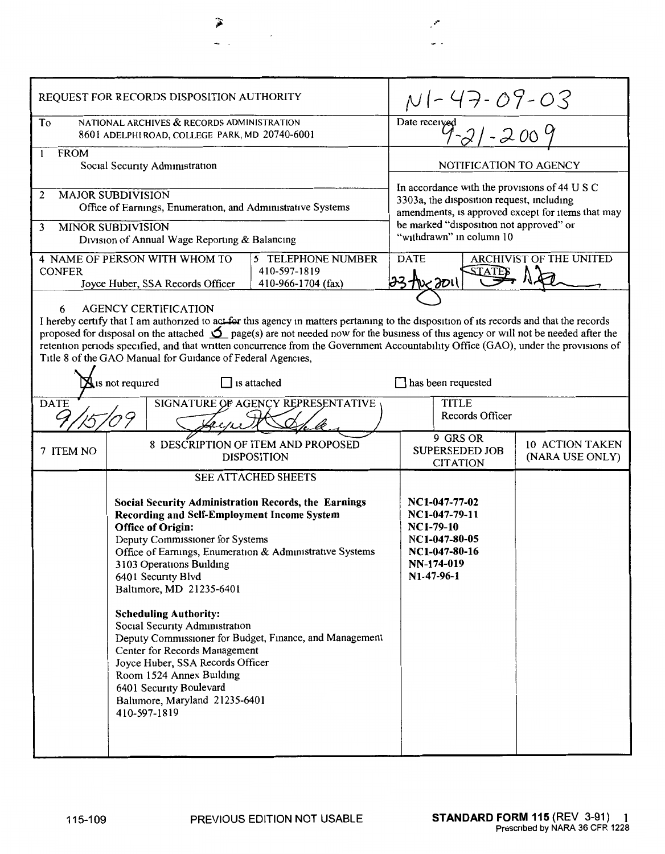| REQUEST FOR RECORDS DISPOSITION AUTHORITY                                                                                                                                                                                                                                                                                                                                                                                                                                                                                                                                                                                                      |                                                          |                                                                                                                        | $N$   - 47 - 09 - 03<br>Date received<br>$9 - 21 - 2009$                                                                                                                                                               |                                           |
|------------------------------------------------------------------------------------------------------------------------------------------------------------------------------------------------------------------------------------------------------------------------------------------------------------------------------------------------------------------------------------------------------------------------------------------------------------------------------------------------------------------------------------------------------------------------------------------------------------------------------------------------|----------------------------------------------------------|------------------------------------------------------------------------------------------------------------------------|------------------------------------------------------------------------------------------------------------------------------------------------------------------------------------------------------------------------|-------------------------------------------|
| To<br>NATIONAL ARCHIVES & RECORDS ADMINISTRATION<br>8601 ADELPHI ROAD, COLLEGE PARK, MD 20740-6001                                                                                                                                                                                                                                                                                                                                                                                                                                                                                                                                             |                                                          |                                                                                                                        |                                                                                                                                                                                                                        |                                           |
| <b>FROM</b><br>$\mathbf{1}$<br>Social Security Administration                                                                                                                                                                                                                                                                                                                                                                                                                                                                                                                                                                                  |                                                          |                                                                                                                        | NOTIFICATION TO AGENCY                                                                                                                                                                                                 |                                           |
| <b>MAJOR SUBDIVISION</b><br>2<br>Office of Earnings, Enumeration, and Administrative Systems<br><b>MINOR SUBDIVISION</b><br>3<br>Division of Annual Wage Reporting & Balancing                                                                                                                                                                                                                                                                                                                                                                                                                                                                 |                                                          |                                                                                                                        | In accordance with the provisions of 44 U S C<br>3303a, the disposition request, including<br>amendments, is approved except for items that may<br>be marked "disposition not approved" or<br>"withdrawn" in column 10 |                                           |
| 4 NAME OF PERSON WITH WHOM TO<br>5 TELEPHONE NUMBER<br>410-597-1819<br><b>CONFER</b><br>410-966-1704 (fax)<br>Joyce Huber, SSA Records Officer                                                                                                                                                                                                                                                                                                                                                                                                                                                                                                 |                                                          |                                                                                                                        | <b>ARCHIVIST OF THE UNITED</b><br><b>DATE</b><br>23 the 2011                                                                                                                                                           |                                           |
| <b>AGENCY CERTIFICATION</b><br>6<br>I hereby certify that I am authorized to act for this agency in matters pertaining to the disposition of its records and that the records<br>proposed for disposal on the attached $\sum$ page(s) are not needed now for the business of this agency or will not be needed after the<br>retention periods specified, and that written concurrence from the Government Accountability Office (GAO), under the provisions of<br>Title 8 of the GAO Manual for Guidance of Federal Agencies,<br>$\mathbf{X}_1$ is not required<br>$\Box$ is attached<br>] has been requested                                  |                                                          |                                                                                                                        |                                                                                                                                                                                                                        |                                           |
| SIGNATURE OF AGENCY REPRESENTATIVE<br><b>DATE</b>                                                                                                                                                                                                                                                                                                                                                                                                                                                                                                                                                                                              |                                                          |                                                                                                                        | <b>TITLE</b><br>Records Officer                                                                                                                                                                                        |                                           |
| 7 ITEM NO                                                                                                                                                                                                                                                                                                                                                                                                                                                                                                                                                                                                                                      | 8 DESCRIPTION OF ITEM AND PROPOSED<br><b>DISPOSITION</b> |                                                                                                                        | 9 GRS OR<br><b>SUPERSEDED JOB</b><br><b>CITATION</b>                                                                                                                                                                   | <b>10 ACTION TAKEN</b><br>(NARA USE ONLY) |
| SEE ATTACHED SHEETS<br>Social Security Administration Records, the Earnings<br>Recording and Self-Employment Income System<br><b>Office of Origin:</b><br>Deputy Commissioner for Systems<br>Office of Earnings, Enumeration & Administrative Systems<br>3103 Operations Building<br>6401 Security Blvd<br>Baltimore, MD 21235-6401<br><b>Scheduling Authority:</b><br>Social Security Administration<br>Deputy Commissioner for Budget, Finance, and Management<br>Center for Records Management<br>Joyce Huber, SSA Records Officer<br>Room 1524 Annex Building<br>6401 Security Boulevard<br>Baltimore, Maryland 21235-6401<br>410-597-1819 |                                                          | NC1-047-77-02<br>NC1-047-79-11<br>NC1-79-10<br>NC1-047-80-05<br>NC1-047-80-16<br>NN-174-019<br>N <sub>1</sub> -47-96-1 |                                                                                                                                                                                                                        |                                           |

 $\mathcal{E}^{\bullet}$  $\frac{1}{2}$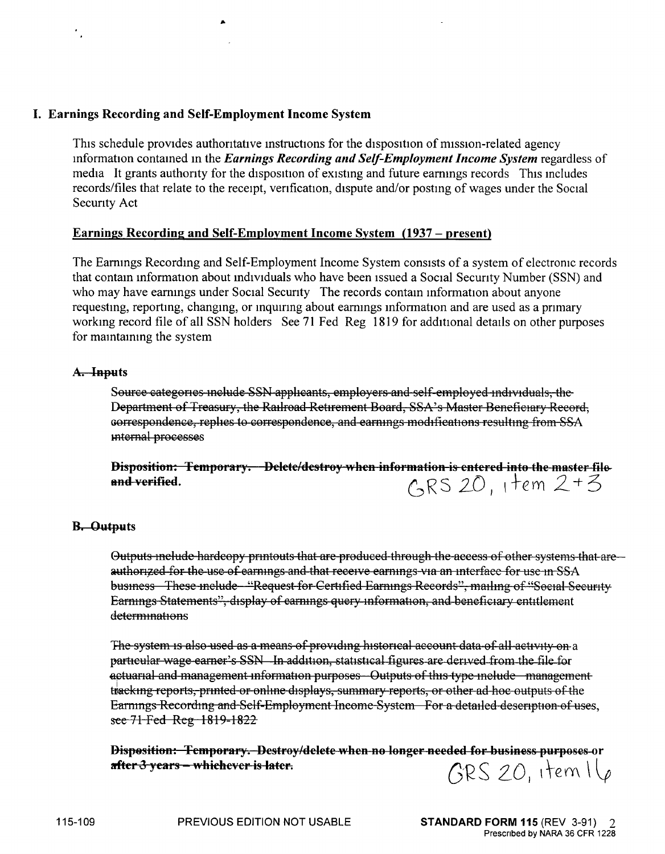## I. **Earnings Recording and Self-Employment Income System**

This schedule provides authoritative instructions for the disposition of mission-related agency mformation contamed m the *Earnings Recording and Self-Employment Income System* regardless of media It grants authority for the disposition of existing and future earnings records This includes records/files that relate to the receipt, venfication, dispute and/or postmg of wages under the Social Secunty Act

## **Earnings Recording and Self-Employment Income System (1937 – present)**

The Eammgs Recordmg and Self-Employment Income System consists of a system of electronic records that contain information about individuals who have been issued a Social Security Number (SSN) and who may have earnings under Social Security The records contain information about anyone requesting, reporting, changing, or inquiring about earnings information and are used as a primary workmg record file of all SSN holders See 71 Fed Reg 1819 for additional details on other purposes for mamtammg the system

## A. **Inputs**

Source categories include SSN applicants, employers and self-employed individuals, the Department of Treasury, the Railroad Retirement Board, SSA's Master Beneficiary Record, oorrespondence, replies to correspondence, and earnings modifications resulting from SSA mtemal processes

**Disposition: Temporary. Delete/destroy when information is entered into the master file and verified.**  $\cos A \sin A$ **and verified.** 

## **B, Outputs**

Outputs include hardcopy printouts that are produced through the access of other systems that are authorized for the use of earnings and that receive earnings via an interface for use in SSA business These include "Request for Certified Earnings Records", mailing of "Social Security Earnmgs Statements", display of eammgs query mformatlon, and beneficiary entitlement determinations

The system is also used as a means of providing historical account data of all activity on a particular wage earner's SSN In addition, statistical figures are derived from the file for actuarial and management information purposes Outputs of this type include management tracking reports, printed or online displays, summary reports, or other ad hoc outputs of the Earnings Recording and Self-Employment Income System For a detailed description of uses, see 71 Fed Reg 1819-1822

**Bisp8sition: Temporary. Destroy/delete when no longer needed for business purposes or after3 :,ears whiehe·ler is later.** G'R S 2\_\_0 \ te <sup>m</sup>\ V  $GRS$  20, item  $I\backslash\rho$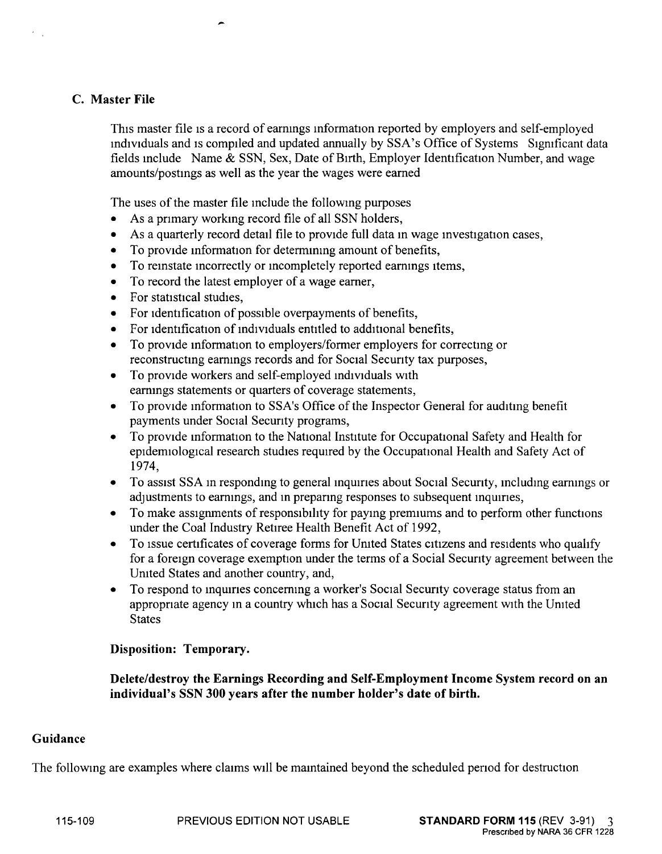# **C. Master File**

This master file is a record of earnmgs mformation reported by employers and self-employed mdividuals and is compiled and updated annually by SSA's Office of Systems Significant data fields include Name  $&$  SSN, Sex, Date of Birth, Employer Identification Number, and wage amounts/postings as well as the year the wages were earned

The uses of the master file include the following purposes

- As a primary working record file of all SSN holders,
- As a quarterly record detail file to provide full data in wage investigation cases,
- To provide information for determining amount of benefits,
- To reinstate incorrectly or incompletely reported earnings items,
- To record the latest employer of a wage earner,
- For statistical studies,
- For identification of possible overpayments of benefits,
- For identification of individuals entitled to additional benefits,
- To provide information to employers/former employers for correcting or reconstructing earnings records and for Social Secunty tax purposes,
- To provide workers and self-employed mdividuals with earnings statements or quarters of coverage statements,
- To provide information to SSA's Office of the Inspector General for auditing benefit payments under Social Secunty programs,
- To provide information to the National Institute for Occupational Safety and Health for epidemiological research studies required by the Occupational Health and Safety Act of 1974,
- To assist SSA in responding to general inquiries about Social Security, including earnings or adjustments to earnings, and in preparing responses to subsequent inquiries,
- To make assignments of responsibility for paying premiums and to perform other functions under the Coal Industry Retiree Health Benefit Act of 1992,
- To issue certificates of coverage forms for Umted States citizens and residents who qualify for a foreign coverage exemption under the terms of a Social Secunty agreement between the Umted States and another country, and,
- To respond to inquiries concerning a worker's Social Security coverage status from an appropnate agency m a country which has a Social Secunty agreement with the Umted States

## **Disposition: Temporary.**

**Delete/destroy the Earnings Recording and Self-Employment Income System record on an individual's SSN 300 years after the number holder's date of birth.** 

## **Guidance**

The following are examples where claims will be maintained beyond the scheduled period for destruction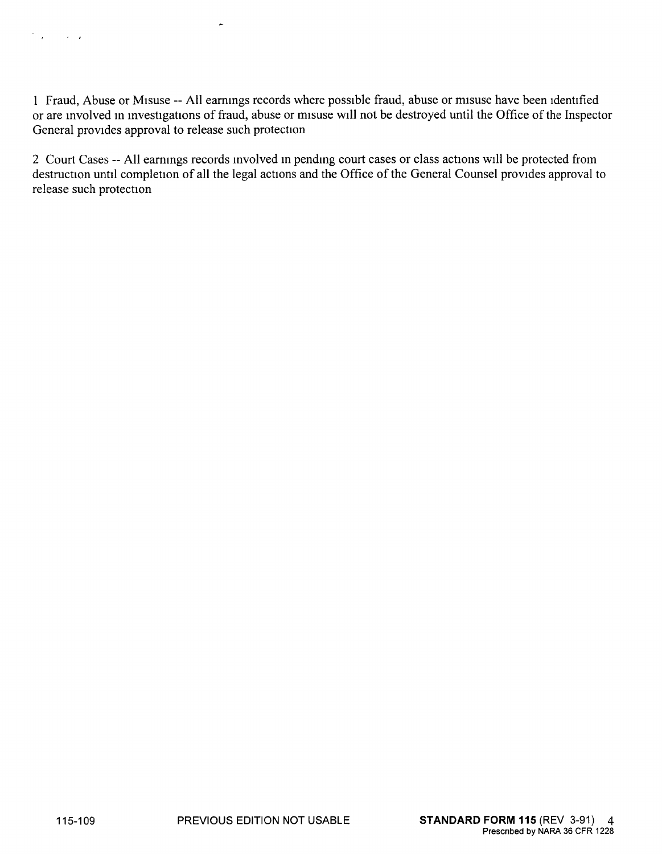1 Fraud, Abuse or Misuse -- All eammgs records where possible fraud, abuse or misuse have been identified or are involved in investigations of fraud, abuse or misuse will not be destroyed until the Office of the Inspector General provides approval to release such protection

2 Court Cases -- All earmngs records mvolved m pendmg court cases or class actions will be protected from destruction until completion of all the legal actions and the Office of the General Counsel provides approval to release such protection